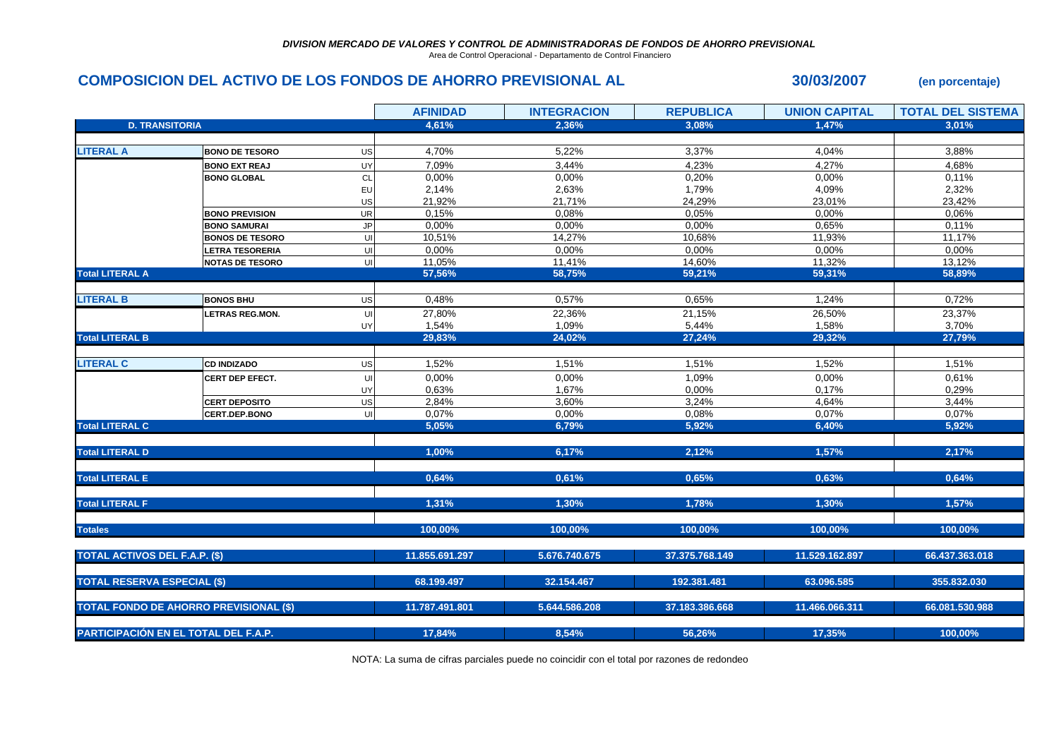Area de Control Operacional - Departamento de Control Financiero

## **COMPOSICION DEL ACTIVO DE LOS FONDOS DE AHORRO PREVISIONAL AL 30/03/2007 (en porcentaje)**

|                                      |                                               |           | <b>AFINIDAD</b> | <b>INTEGRACION</b> | <b>REPUBLICA</b> | <b>UNION CAPITAL</b> | <b>TOTAL DEL SISTEMA</b> |
|--------------------------------------|-----------------------------------------------|-----------|-----------------|--------------------|------------------|----------------------|--------------------------|
| <b>D. TRANSITORIA</b>                |                                               |           | 4,61%           | 2,36%              | 3,08%            | 1,47%                | 3.01%                    |
|                                      |                                               |           |                 |                    |                  |                      |                          |
| <b>LITERAL A</b>                     | <b>BONO DE TESORO</b>                         | US        | 4,70%           | 5,22%              | 3,37%            | 4,04%                | 3,88%                    |
|                                      | <b>BONO EXT REAJ</b>                          | UY        | 7,09%           | 3,44%              | 4,23%            | 4,27%                | 4,68%                    |
|                                      | <b>BONO GLOBAL</b>                            | CL        | 0,00%           | 0,00%              | 0,20%            | 0,00%                | 0,11%                    |
|                                      |                                               | EU        | 2,14%           | 2,63%              | 1,79%            | 4,09%                | 2,32%                    |
|                                      |                                               | US        | 21,92%          | 21,71%             | 24,29%           | 23,01%               | 23,42%                   |
|                                      | <b>BONO PREVISION</b>                         | UR        | 0.15%           | 0,08%              | 0,05%            | 0,00%                | 0.06%                    |
|                                      | <b>BONO SAMURAI</b>                           | <b>JP</b> | 0,00%           | 0,00%              | 0,00%            | 0,65%                | 0,11%                    |
|                                      | <b>BONOS DE TESORO</b>                        | UI        | 10,51%          | 14,27%             | 10,68%           | 11,93%               | 11,17%                   |
|                                      | LETRA TESORERIA                               | UI        | 0,00%           | 0,00%              | 0,00%            | 0,00%                | 0,00%                    |
|                                      | <b>NOTAS DE TESORO</b>                        | UI        | 11,05%          | 11,41%             | 14,60%           | 11,32%               | 13,12%                   |
| <b>Total LITERAL A</b>               |                                               |           | 57,56%          | 58,75%             | 59,21%           | 59,31%               | 58,89%                   |
|                                      |                                               |           |                 |                    |                  |                      |                          |
| <b>LITERAL B</b>                     | <b>BONOS BHU</b>                              | US        | 0,48%           | 0,57%              | 0,65%            | 1,24%                | 0,72%                    |
|                                      | <b>LETRAS REG.MON.</b>                        | UI        | 27,80%          | 22,36%             | 21,15%           | 26,50%               | 23,37%                   |
|                                      |                                               | UY        | 1,54%           | 1,09%              | 5,44%            | 1,58%                | 3,70%                    |
| <b>Total LITERAL B</b>               |                                               |           | 29,83%          | 24,02%             | 27,24%           | 29,32%               | 27,79%                   |
|                                      |                                               |           |                 |                    |                  |                      |                          |
| <b>LITERAL C</b>                     | <b>CD INDIZADO</b>                            | US        | 1,52%           | 1,51%              | 1,51%            | 1,52%                | 1,51%                    |
|                                      | CERT DEP EFECT.                               | UI        | 0,00%           | 0,00%              | 1,09%            | 0,00%                | 0,61%                    |
|                                      |                                               | UY        | 0,63%           | 1,67%              | 0,00%            | 0,17%                | 0,29%                    |
|                                      | <b>CERT DEPOSITO</b>                          | US        | 2,84%           | 3,60%              | 3,24%            | 4,64%                | 3,44%                    |
|                                      | CERT.DEP.BONO                                 | UI        | 0,07%           | 0,00%              | 0,08%            | 0,07%                | 0,07%                    |
| <b>Total LITERAL C</b>               |                                               |           | 5,05%           | 6,79%              | 5,92%            | 6,40%                | 5,92%                    |
|                                      |                                               |           |                 |                    |                  |                      |                          |
| <b>Total LITERAL D</b>               |                                               |           | 1,00%           | 6,17%              | 2,12%            | 1,57%                | 2,17%                    |
|                                      |                                               |           |                 |                    |                  |                      |                          |
| <b>Total LITERAL E</b>               |                                               |           | 0,64%           | 0,61%              | 0,65%            | 0,63%                | 0,64%                    |
|                                      |                                               |           |                 |                    |                  |                      |                          |
| <b>Total LITERAL F</b>               |                                               |           | 1,31%           | 1,30%              | 1,78%            | 1,30%                | 1,57%                    |
|                                      |                                               |           |                 |                    |                  |                      |                          |
| <b>Totales</b>                       |                                               |           | 100,00%         | 100,00%            | 100,00%          | 100,00%              | 100,00%                  |
|                                      |                                               |           |                 |                    |                  |                      |                          |
| <b>TOTAL ACTIVOS DEL F.A.P. (\$)</b> |                                               |           | 11.855.691.297  | 5.676.740.675      | 37.375.768.149   | 11.529.162.897       | 66.437.363.018           |
|                                      |                                               |           |                 |                    |                  |                      |                          |
| <b>TOTAL RESERVA ESPECIAL (\$)</b>   |                                               |           | 68.199.497      | 32.154.467         | 192.381.481      | 63.096.585           | 355.832.030              |
|                                      |                                               |           |                 |                    |                  |                      |                          |
|                                      | <b>TOTAL FONDO DE AHORRO PREVISIONAL (\$)</b> |           | 11.787.491.801  | 5.644.586.208      | 37.183.386.668   | 11.466.066.311       | 66.081.530.988           |
|                                      |                                               |           |                 |                    |                  |                      |                          |
| PARTICIPACIÓN EN EL TOTAL DEL F.A.P. |                                               |           | 17,84%          | 8,54%              | 56,26%           | 17,35%               | 100,00%                  |

NOTA: La suma de cifras parciales puede no coincidir con el total por razones de redondeo